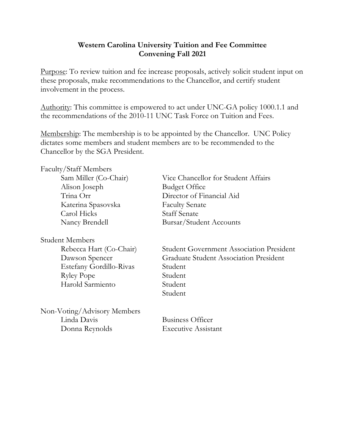## **Western Carolina University Tuition and Fee Committee Convening Fall 2021**

Purpose: To review tuition and fee increase proposals, actively solicit student input on these proposals, make recommendations to the Chancellor, and certify student involvement in the process.

Authority: This committee is empowered to act under UNC-GA policy 1000.1.1 and the recommendations of the 2010-11 UNC Task Force on Tuition and Fees.

Membership: The membership is to be appointed by the Chancellor. UNC Policy dictates some members and student members are to be recommended to the Chancellor by the SGA President.

| Faculty/Staff Members       |                                                 |
|-----------------------------|-------------------------------------------------|
| Sam Miller (Co-Chair)       | Vice Chancellor for Student Affairs             |
| Alison Joseph               | <b>Budget Office</b>                            |
| Trina Orr                   | Director of Financial Aid                       |
| Katerina Spasovska          | <b>Faculty Senate</b>                           |
| Carol Hicks                 | <b>Staff Senate</b>                             |
| Nancy Brendell              | Bursar/Student Accounts                         |
| Student Members             |                                                 |
| Rebecca Hart (Co-Chair)     | <b>Student Government Association President</b> |
| Dawson Spencer              | <b>Graduate Student Association President</b>   |
| Estefany Gordillo-Rivas     | Student                                         |
| <b>Ryley Pope</b>           | Student                                         |
| Harold Sarmiento            | Student                                         |
|                             | Student                                         |
| Non-Voting/Advisory Members |                                                 |
| Linda Davis                 | <b>Business Officer</b>                         |

Donna Reynolds Executive Assistant